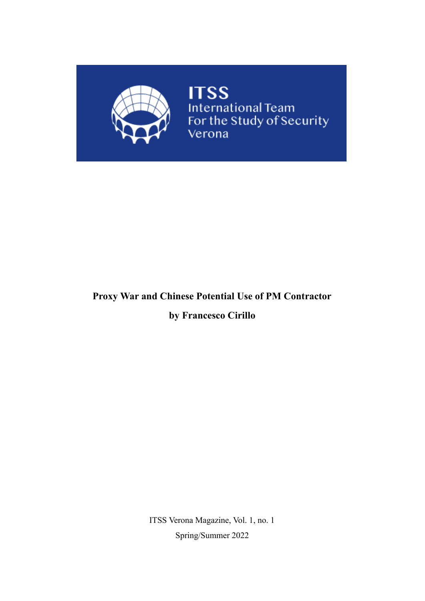

**ITSS** International Team<br>For the Study of Security<br>Verona

# **Proxy War and Chinese Potential Use of PM Contractor**

## **by Francesco Cirillo**

ITSS Verona Magazine, Vol. 1, no. 1 Spring/Summer 2022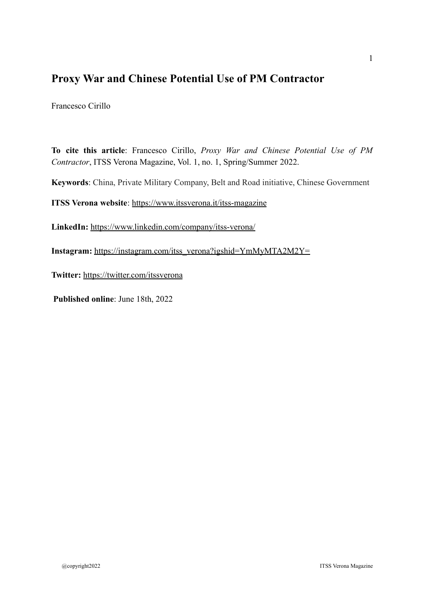## **Proxy War and Chinese Potential Use of PM Contractor**

Francesco Cirillo

**To cite this article**: Francesco Cirillo, *Proxy War and Chinese Potential Use of PM Contractor*, ITSS Verona Magazine, Vol. 1, no. 1, Spring/Summer 2022.

**Keywords**: China, Private Military Company, Belt and Road initiative, Chinese Government

**ITSS Verona website**:<https://www.itssverona.it/itss-magazine>

**LinkedIn:** <https://www.linkedin.com/company/itss-verona/>

**Instagram:** [https://instagram.com/itss\\_verona?igshid=YmMyMTA2M2Y=](https://instagram.com/itss_verona?igshid=YmMyMTA2M2Y=)

**Twitter:** <https://twitter.com/itssverona>

**Published online**: June 18th, 2022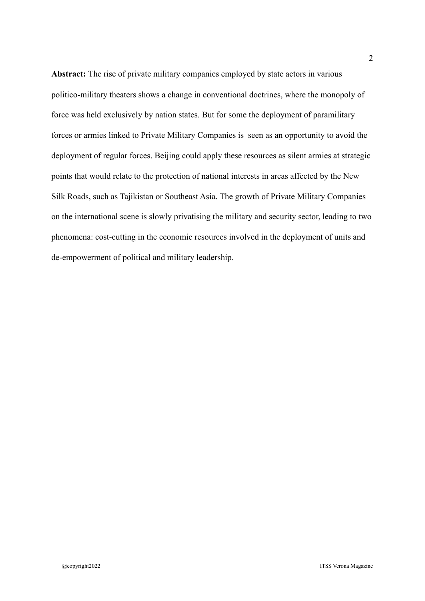**Abstract:** The rise of private military companies employed by state actors in various politico-military theaters shows a change in conventional doctrines, where the monopoly of force was held exclusively by nation states. But for some the deployment of paramilitary forces or armies linked to Private Military Companies is seen as an opportunity to avoid the deployment of regular forces. Beijing could apply these resources as silent armies at strategic points that would relate to the protection of national interests in areas affected by the New Silk Roads, such as Tajikistan or Southeast Asia. The growth of Private Military Companies on the international scene is slowly privatising the military and security sector, leading to two phenomena: cost-cutting in the economic resources involved in the deployment of units and de-empowerment of political and military leadership.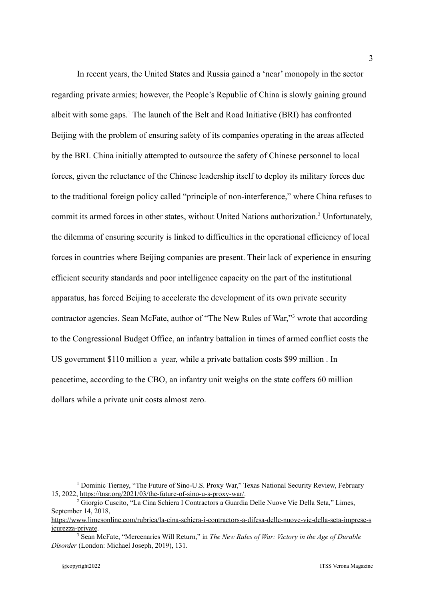In recent years, the United States and Russia gained a 'near' monopoly in the sector regarding private armies; however, the People's Republic of China is slowly gaining ground albeit with some gaps. $<sup>1</sup>$  The launch of the Belt and Road Initiative (BRI) has confronted</sup> Beijing with the problem of ensuring safety of its companies operating in the areas affected by the BRI. China initially attempted to outsource the safety of Chinese personnel to local forces, given the reluctance of the Chinese leadership itself to deploy its military forces due to the traditional foreign policy called "principle of non-interference," where China refuses to commit its armed forces in other states, without United Nations authorization.<sup>2</sup> Unfortunately, the dilemma of ensuring security is linked to difficulties in the operational efficiency of local forces in countries where Beijing companies are present. Their lack of experience in ensuring efficient security standards and poor intelligence capacity on the part of the institutional apparatus, has forced Beijing to accelerate the development of its own private security contractor agencies. Sean McFate, author of "The New Rules of War,"<sup>3</sup> wrote that according to the Congressional Budget Office, an infantry battalion in times of armed conflict costs the US government \$110 million a year, while a private battalion costs \$99 million . In peacetime, according to the CBO, an infantry unit weighs on the state coffers 60 million dollars while a private unit costs almost zero.

<sup>&</sup>lt;sup>1</sup> Dominic Tierney, "The Future of Sino-U.S. Proxy War," Texas National Security Review, February 15, 2022, [https://tnsr.org/2021/03/the-future-of-sino-u-s-proxy-war/.](https://tnsr.org/2021/03/the-future-of-sino-u-s-proxy-war/)

<sup>2</sup> Giorgio Cuscito, "La Cina Schiera I Contractors a Guardia Delle Nuove Vie Della Seta," Limes, September 14, 2018,

[https://www.limesonline.com/rubrica/la-cina-schiera-i-contractors-a-difesa-delle-nuove-vie-della-seta-imprese-s](https://www.limesonline.com/rubrica/la-cina-schiera-i-contractors-a-difesa-delle-nuove-vie-della-seta-imprese-sicurezza-private) [icurezza-private](https://www.limesonline.com/rubrica/la-cina-schiera-i-contractors-a-difesa-delle-nuove-vie-della-seta-imprese-sicurezza-private).

<sup>3</sup> Sean McFate, "Mercenaries Will Return," in *The New Rules of War: Victory in the Age of Durable Disorder* (London: Michael Joseph, 2019), 131.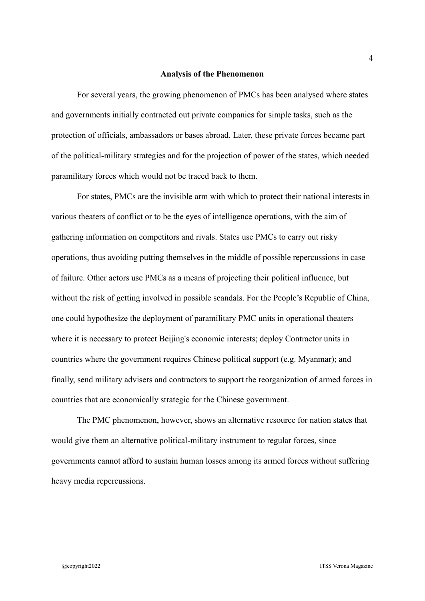#### **Analysis of the Phenomenon**

For several years, the growing phenomenon of PMCs has been analysed where states and governments initially contracted out private companies for simple tasks, such as the protection of officials, ambassadors or bases abroad. Later, these private forces became part of the political-military strategies and for the projection of power of the states, which needed paramilitary forces which would not be traced back to them.

For states, PMCs are the invisible arm with which to protect their national interests in various theaters of conflict or to be the eyes of intelligence operations, with the aim of gathering information on competitors and rivals. States use PMCs to carry out risky operations, thus avoiding putting themselves in the middle of possible repercussions in case of failure. Other actors use PMCs as a means of projecting their political influence, but without the risk of getting involved in possible scandals. For the People's Republic of China, one could hypothesize the deployment of paramilitary PMC units in operational theaters where it is necessary to protect Beijing's economic interests; deploy Contractor units in countries where the government requires Chinese political support (e.g. Myanmar); and finally, send military advisers and contractors to support the reorganization of armed forces in countries that are economically strategic for the Chinese government.

The PMC phenomenon, however, shows an alternative resource for nation states that would give them an alternative political-military instrument to regular forces, since governments cannot afford to sustain human losses among its armed forces without suffering heavy media repercussions.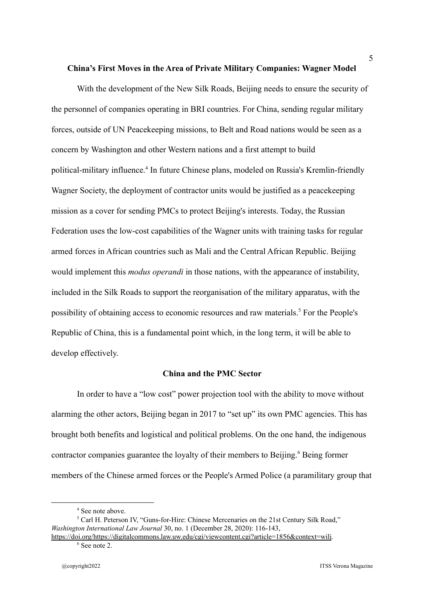5

#### **China's First Moves in the Area of Private Military Companies: Wagner Model**

With the development of the New Silk Roads, Beijing needs to ensure the security of the personnel of companies operating in BRI countries. For China, sending regular military forces, outside of UN Peacekeeping missions, to Belt and Road nations would be seen as a concern by Washington and other Western nations and a first attempt to build political-military influence.<sup>4</sup> In future Chinese plans, modeled on Russia's Kremlin-friendly Wagner Society, the deployment of contractor units would be justified as a peacekeeping mission as a cover for sending PMCs to protect Beijing's interests. Today, the Russian Federation uses the low-cost capabilities of the Wagner units with training tasks for regular armed forces in African countries such as Mali and the Central African Republic. Beijing would implement this *modus operandi* in those nations, with the appearance of instability, included in the Silk Roads to support the reorganisation of the military apparatus, with the possibility of obtaining access to economic resources and raw materials.<sup>5</sup> For the People's Republic of China, this is a fundamental point which, in the long term, it will be able to develop effectively.

### **China and the PMC Sector**

In order to have a "low cost" power projection tool with the ability to move without alarming the other actors, Beijing began in 2017 to "set up" its own PMC agencies. This has brought both benefits and logistical and political problems. On the one hand, the indigenous contractor companies guarantee the loyalty of their members to Beijing.<sup>6</sup> Being former members of the Chinese armed forces or the People's Armed Police (a paramilitary group that

<sup>&</sup>lt;sup>4</sup> See note above.

<sup>5</sup> Carl H. Peterson IV, "Guns-for-Hire: Chinese Mercenaries on the 21st Century Silk Road," *Washington International Law Journal* 30, no. 1 (December 28, 2020): 116-143,

<sup>6</sup> See note 2. <https://doi.org/https://digitalcommons.law.uw.edu/cgi/viewcontent.cgi?article=1856&context=wilj>.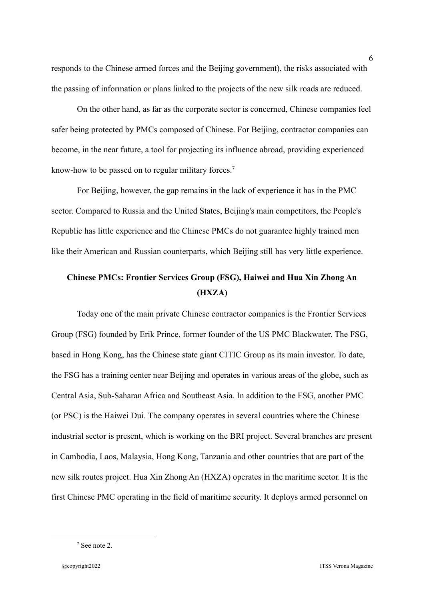responds to the Chinese armed forces and the Beijing government), the risks associated with the passing of information or plans linked to the projects of the new silk roads are reduced.

On the other hand, as far as the corporate sector is concerned, Chinese companies feel safer being protected by PMCs composed of Chinese. For Beijing, contractor companies can become, in the near future, a tool for projecting its influence abroad, providing experienced know-how to be passed on to regular military forces.<sup>7</sup>

For Beijing, however, the gap remains in the lack of experience it has in the PMC sector. Compared to Russia and the United States, Beijing's main competitors, the People's Republic has little experience and the Chinese PMCs do not guarantee highly trained men like their American and Russian counterparts, which Beijing still has very little experience.

## **Chinese PMCs: Frontier Services Group (FSG), Haiwei and Hua Xin Zhong An (HXZA)**

Today one of the main private Chinese contractor companies is the Frontier Services Group (FSG) founded by Erik Prince, former founder of the US PMC Blackwater. The FSG, based in Hong Kong, has the Chinese state giant CITIC Group as its main investor. To date, the FSG has a training center near Beijing and operates in various areas of the globe, such as Central Asia, Sub-Saharan Africa and Southeast Asia. In addition to the FSG, another PMC (or PSC) is the Haiwei Dui. The company operates in several countries where the Chinese industrial sector is present, which is working on the BRI project. Several branches are present in Cambodia, Laos, Malaysia, Hong Kong, Tanzania and other countries that are part of the new silk routes project. Hua Xin Zhong An (HXZA) operates in the maritime sector. It is the first Chinese PMC operating in the field of maritime security. It deploys armed personnel on

<sup>7</sup> See note 2.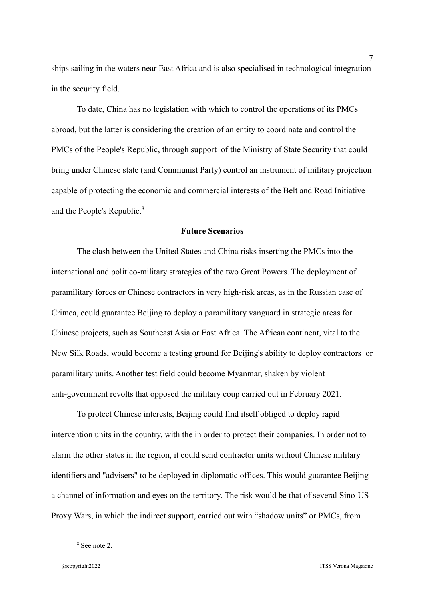ships sailing in the waters near East Africa and is also specialised in technological integration in the security field.

To date, China has no legislation with which to control the operations of its PMCs abroad, but the latter is considering the creation of an entity to coordinate and control the PMCs of the People's Republic, through support of the Ministry of State Security that could bring under Chinese state (and Communist Party) control an instrument of military projection capable of protecting the economic and commercial interests of the Belt and Road Initiative and the People's Republic.<sup>8</sup>

#### **Future Scenarios**

The clash between the United States and China risks inserting the PMCs into the international and politico-military strategies of the two Great Powers. The deployment of paramilitary forces or Chinese contractors in very high-risk areas, as in the Russian case of Crimea, could guarantee Beijing to deploy a paramilitary vanguard in strategic areas for Chinese projects, such as Southeast Asia or East Africa. The African continent, vital to the New Silk Roads, would become a testing ground for Beijing's ability to deploy contractors or paramilitary units. Another test field could become Myanmar, shaken by violent anti-government revolts that opposed the military coup carried out in February 2021.

To protect Chinese interests, Beijing could find itself obliged to deploy rapid intervention units in the country, with the in order to protect their companies. In order not to alarm the other states in the region, it could send contractor units without Chinese military identifiers and "advisers" to be deployed in diplomatic offices. This would guarantee Beijing a channel of information and eyes on the territory. The risk would be that of several Sino-US Proxy Wars, in which the indirect support, carried out with "shadow units" or PMCs, from

<sup>8</sup> See note 2.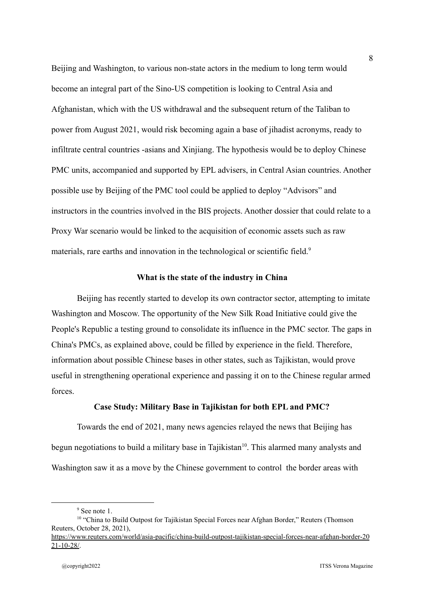Beijing and Washington, to various non-state actors in the medium to long term would become an integral part of the Sino-US competition is looking to Central Asia and Afghanistan, which with the US withdrawal and the subsequent return of the Taliban to power from August 2021, would risk becoming again a base of jihadist acronyms, ready to infiltrate central countries -asians and Xinjiang. The hypothesis would be to deploy Chinese PMC units, accompanied and supported by EPL advisers, in Central Asian countries. Another possible use by Beijing of the PMC tool could be applied to deploy "Advisors" and instructors in the countries involved in the BIS projects. Another dossier that could relate to a Proxy War scenario would be linked to the acquisition of economic assets such as raw materials, rare earths and innovation in the technological or scientific field.<sup>9</sup>

#### **What is the state of the industry in China**

Beijing has recently started to develop its own contractor sector, attempting to imitate Washington and Moscow. The opportunity of the New Silk Road Initiative could give the People's Republic a testing ground to consolidate its influence in the PMC sector. The gaps in China's PMCs, as explained above, could be filled by experience in the field. Therefore, information about possible Chinese bases in other states, such as Tajikistan, would prove useful in strengthening operational experience and passing it on to the Chinese regular armed forces.

#### **Case Study: Military Base in Tajikistan for both EPL and PMC?**

Towards the end of 2021, many news agencies relayed the news that Beijing has begun negotiations to build a military base in Tajikistan<sup>10</sup>. This alarmed many analysts and Washington saw it as a move by the Chinese government to control the border areas with

<sup>&</sup>lt;sup>9</sup> See note 1.

<sup>&</sup>lt;sup>10</sup> "China to Build Outpost for Tajikistan Special Forces near Afghan Border," Reuters (Thomson Reuters, October 28, 2021),

[https://www.reuters.com/world/asia-pacific/china-build-outpost-tajikistan-special-forces-near-afghan-border-20](https://www.reuters.com/world/asia-pacific/china-build-outpost-tajikistan-special-forces-near-afghan-border-2021-10-28/) [21-10-28/](https://www.reuters.com/world/asia-pacific/china-build-outpost-tajikistan-special-forces-near-afghan-border-2021-10-28/).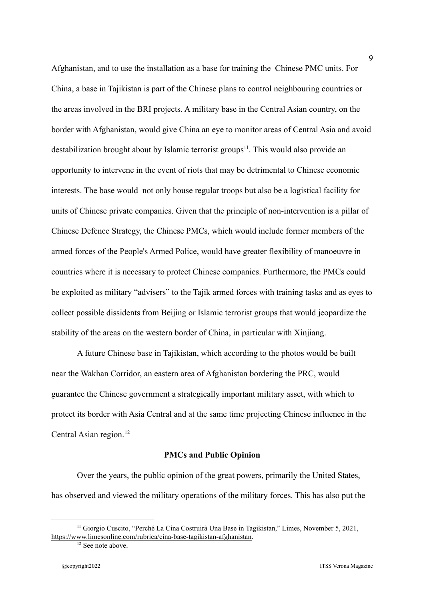Afghanistan, and to use the installation as a base for training the Chinese PMC units. For China, a base in Tajikistan is part of the Chinese plans to control neighbouring countries or the areas involved in the BRI projects. A military base in the Central Asian country, on the border with Afghanistan, would give China an eye to monitor areas of Central Asia and avoid destabilization brought about by Islamic terrorist groups $<sup>11</sup>$ . This would also provide an</sup> opportunity to intervene in the event of riots that may be detrimental to Chinese economic interests. The base would not only house regular troops but also be a logistical facility for units of Chinese private companies. Given that the principle of non-intervention is a pillar of Chinese Defence Strategy, the Chinese PMCs, which would include former members of the armed forces of the People's Armed Police, would have greater flexibility of manoeuvre in countries where it is necessary to protect Chinese companies. Furthermore, the PMCs could be exploited as military "advisers" to the Tajik armed forces with training tasks and as eyes to collect possible dissidents from Beijing or Islamic terrorist groups that would jeopardize the stability of the areas on the western border of China, in particular with Xinjiang.

A future Chinese base in Tajikistan, which according to the photos would be built near the Wakhan Corridor, an eastern area of Afghanistan bordering the PRC, would guarantee the Chinese government a strategically important military asset, with which to protect its border with Asia Central and at the same time projecting Chinese influence in the Central Asian region.<sup>12</sup>

#### **PMCs and Public Opinion**

Over the years, the public opinion of the great powers, primarily the United States, has observed and viewed the military operations of the military forces. This has also put the

<sup>11</sup> Giorgio Cuscito, "Perché La Cina Costruirà Una Base in Tagikistan," Limes, November 5, 2021, [https://www.limesonline.com/rubrica/cina-base-tagikistan-afghanistan.](https://www.limesonline.com/rubrica/cina-base-tagikistan-afghanistan)

<sup>&</sup>lt;sup>12</sup> See note above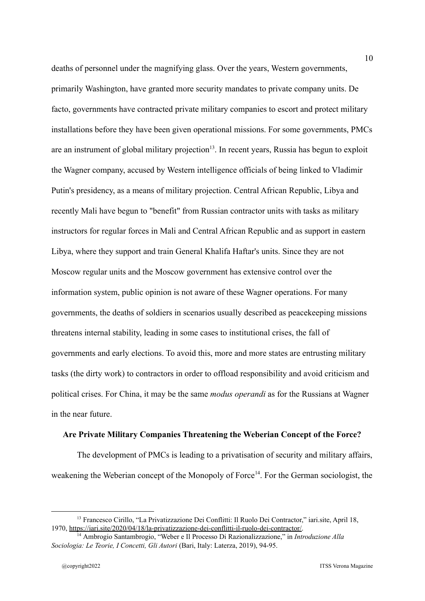deaths of personnel under the magnifying glass. Over the years, Western governments, primarily Washington, have granted more security mandates to private company units. De facto, governments have contracted private military companies to escort and protect military installations before they have been given operational missions. For some governments, PMCs are an instrument of global military projection<sup>13</sup>. In recent years, Russia has begun to exploit the Wagner company, accused by Western intelligence officials of being linked to Vladimir Putin's presidency, as a means of military projection. Central African Republic, Libya and recently Mali have begun to "benefit" from Russian contractor units with tasks as military instructors for regular forces in Mali and Central African Republic and as support in eastern Libya, where they support and train General Khalifa Haftar's units. Since they are not Moscow regular units and the Moscow government has extensive control over the information system, public opinion is not aware of these Wagner operations. For many governments, the deaths of soldiers in scenarios usually described as peacekeeping missions threatens internal stability, leading in some cases to institutional crises, the fall of governments and early elections. To avoid this, more and more states are entrusting military tasks (the dirty work) to contractors in order to offload responsibility and avoid criticism and political crises. For China, it may be the same *modus operandi* as for the Russians at Wagner in the near future.

### **Are Private Military Companies Threatening the Weberian Concept of the Force?**

The development of PMCs is leading to a privatisation of security and military affairs, weakening the Weberian concept of the Monopoly of Force<sup> $14$ </sup>. For the German sociologist, the

<sup>&</sup>lt;sup>13</sup> Francesco Cirillo, "La Privatizzazione Dei Conflitti: Il Ruolo Dei Contractor," iari.site, April 18, 1970, <https://iari.site/2020/04/18/la-privatizzazione-dei-conflitti-il-ruolo-dei-contractor/>.

<sup>14</sup> Ambrogio Santambrogio, "Weber e Il Processo Di Razionalizzazione," in *Introduzione Alla Sociologia: Le Teorie, I Concetti, Gli Autori* (Bari, Italy: Laterza, 2019), 94-95.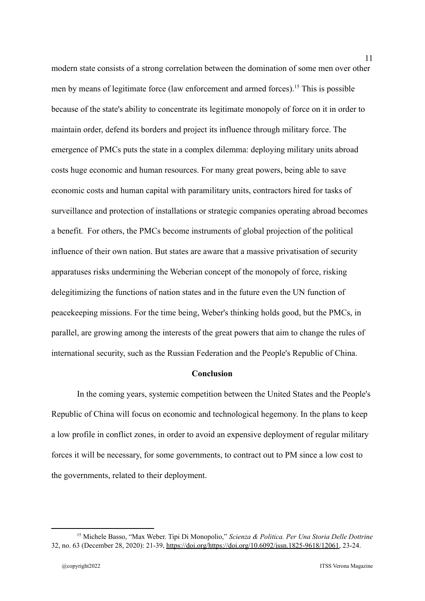modern state consists of a strong correlation between the domination of some men over other men by means of legitimate force (law enforcement and armed forces).<sup>15</sup> This is possible because of the state's ability to concentrate its legitimate monopoly of force on it in order to maintain order, defend its borders and project its influence through military force. The emergence of PMCs puts the state in a complex dilemma: deploying military units abroad costs huge economic and human resources. For many great powers, being able to save economic costs and human capital with paramilitary units, contractors hired for tasks of surveillance and protection of installations or strategic companies operating abroad becomes a benefit. For others, the PMCs become instruments of global projection of the political influence of their own nation. But states are aware that a massive privatisation of security apparatuses risks undermining the Weberian concept of the monopoly of force, risking delegitimizing the functions of nation states and in the future even the UN function of peacekeeping missions. For the time being, Weber's thinking holds good, but the PMCs, in parallel, are growing among the interests of the great powers that aim to change the rules of international security, such as the Russian Federation and the People's Republic of China.

### **Conclusion**

In the coming years, systemic competition between the United States and the People's Republic of China will focus on economic and technological hegemony. In the plans to keep a low profile in conflict zones, in order to avoid an expensive deployment of regular military forces it will be necessary, for some governments, to contract out to PM since a low cost to the governments, related to their deployment.

<sup>15</sup> Michele Basso, "Max Weber. Tipi Di Monopolio," *Scienza & Politica. Per Una Storia Delle Dottrine* 32, no. 63 (December 28, 2020): 21-39, [https://doi.org/https://doi.org/10.6092/issn.1825-9618/12061,](https://doi.org/https://doi.org/10.6092/issn.1825-9618/12061) 23-24.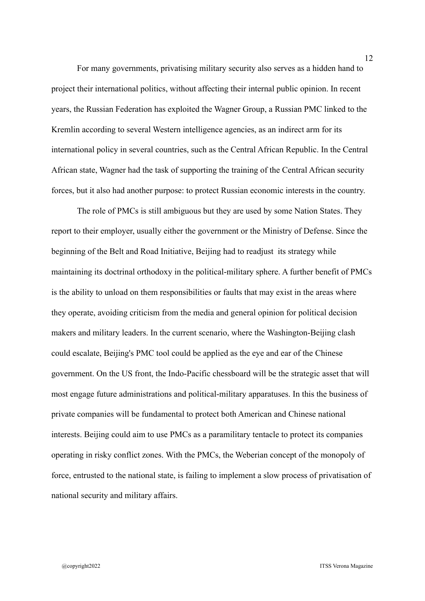For many governments, privatising military security also serves as a hidden hand to project their international politics, without affecting their internal public opinion. In recent years, the Russian Federation has exploited the Wagner Group, a Russian PMC linked to the Kremlin according to several Western intelligence agencies, as an indirect arm for its international policy in several countries, such as the Central African Republic. In the Central African state, Wagner had the task of supporting the training of the Central African security forces, but it also had another purpose: to protect Russian economic interests in the country.

The role of PMCs is still ambiguous but they are used by some Nation States. They report to their employer, usually either the government or the Ministry of Defense. Since the beginning of the Belt and Road Initiative, Beijing had to readjust its strategy while maintaining its doctrinal orthodoxy in the political-military sphere. A further benefit of PMCs is the ability to unload on them responsibilities or faults that may exist in the areas where they operate, avoiding criticism from the media and general opinion for political decision makers and military leaders. In the current scenario, where the Washington-Beijing clash could escalate, Beijing's PMC tool could be applied as the eye and ear of the Chinese government. On the US front, the Indo-Pacific chessboard will be the strategic asset that will most engage future administrations and political-military apparatuses. In this the business of private companies will be fundamental to protect both American and Chinese national interests. Beijing could aim to use PMCs as a paramilitary tentacle to protect its companies operating in risky conflict zones. With the PMCs, the Weberian concept of the monopoly of force, entrusted to the national state, is failing to implement a slow process of privatisation of national security and military affairs.